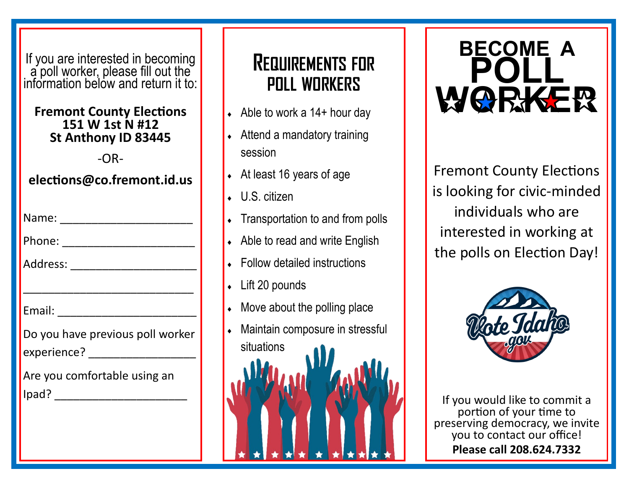If you are interested in becoming a poll worker, please fill out the information below and return it to:

#### **Fremont County Elections 151 W 1st N #12 St Anthony ID 83445**

-OR-

#### **elections@co.fremont.id.us**

| Name: |  |
|-------|--|
|-------|--|

| Phone: |  |
|--------|--|
|        |  |

| Address: |  |
|----------|--|
|          |  |

| Email: |  |
|--------|--|
|        |  |

| Do you have previous poll worker |  |
|----------------------------------|--|
| experience?                      |  |

\_\_\_\_\_\_\_\_\_\_\_\_\_\_\_\_\_\_\_\_\_\_\_\_\_\_\_

| Are you comfortable using an |  |
|------------------------------|--|
| Ipad?                        |  |

# **REQUIREMENTS FOR POLL WORKERS**

- $\leftrightarrow$  Able to work a 14+ hour day
- Attend a mandatory training session
- At least 16 years of age
- U.S. citizen
- Transportation to and from polls
- Able to read and write English
- Follow detailed instructions
- Lift 20 pounds
- Move about the polling place
- Maintain composure in stressful situations



Fremont County Elections is looking for civic-minded individuals who are interested in working at the polls on Election Day!



If you would like to commit a portion of your time to preserving democracy, we invite you to contact our office! **Please call 208.624.7332**